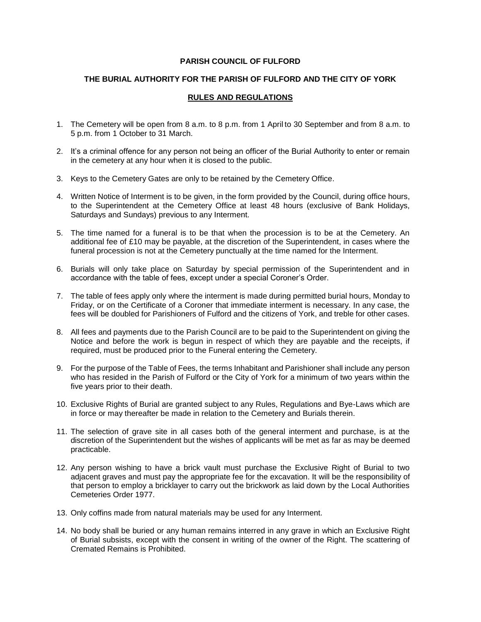### **PARISH COUNCIL OF FULFORD**

## **THE BURIAL AUTHORITY FOR THE PARISH OF FULFORD AND THE CITY OF YORK**

# **RULES AND REGULATIONS**

- 1. The Cemetery will be open from 8 a.m. to 8 p.m. from 1 April to 30 September and from 8 a.m. to 5 p.m. from 1 October to 31 March.
- 2. It's a criminal offence for any person not being an officer of the Burial Authority to enter or remain in the cemetery at any hour when it is closed to the public.
- 3. Keys to the Cemetery Gates are only to be retained by the Cemetery Office.
- 4. Written Notice of Interment is to be given, in the form provided by the Council, during office hours, to the Superintendent at the Cemetery Office at least 48 hours (exclusive of Bank Holidays, Saturdays and Sundays) previous to any Interment.
- 5. The time named for a funeral is to be that when the procession is to be at the Cemetery. An additional fee of £10 may be payable, at the discretion of the Superintendent, in cases where the funeral procession is not at the Cemetery punctually at the time named for the Interment.
- 6. Burials will only take place on Saturday by special permission of the Superintendent and in accordance with the table of fees, except under a special Coroner's Order.
- 7. The table of fees apply only where the interment is made during permitted burial hours, Monday to Friday, or on the Certificate of a Coroner that immediate interment is necessary. In any case, the fees will be doubled for Parishioners of Fulford and the citizens of York, and treble for other cases.
- 8. All fees and payments due to the Parish Council are to be paid to the Superintendent on giving the Notice and before the work is begun in respect of which they are payable and the receipts, if required, must be produced prior to the Funeral entering the Cemetery.
- 9. For the purpose of the Table of Fees, the terms Inhabitant and Parishioner shall include any person who has resided in the Parish of Fulford or the City of York for a minimum of two years within the five years prior to their death.
- 10. Exclusive Rights of Burial are granted subject to any Rules, Regulations and Bye-Laws which are in force or may thereafter be made in relation to the Cemetery and Burials therein.
- 11. The selection of grave site in all cases both of the general interment and purchase, is at the discretion of the Superintendent but the wishes of applicants will be met as far as may be deemed practicable.
- 12. Any person wishing to have a brick vault must purchase the Exclusive Right of Burial to two adjacent graves and must pay the appropriate fee for the excavation. It will be the responsibility of that person to employ a bricklayer to carry out the brickwork as laid down by the Local Authorities Cemeteries Order 1977.
- 13. Only coffins made from natural materials may be used for any Interment.
- 14. No body shall be buried or any human remains interred in any grave in which an Exclusive Right of Burial subsists, except with the consent in writing of the owner of the Right. The scattering of Cremated Remains is Prohibited.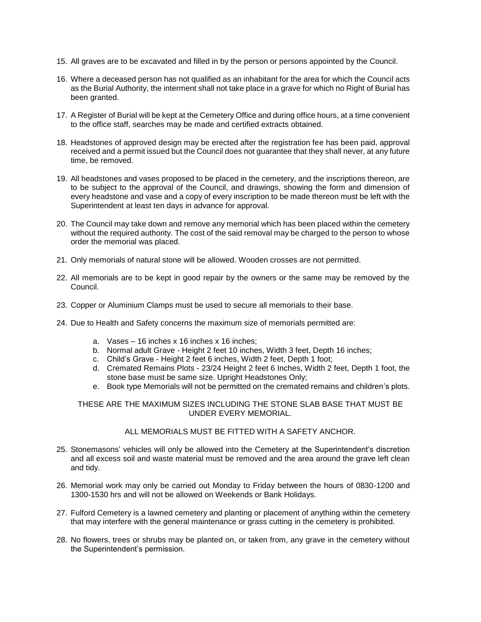- 15. All graves are to be excavated and filled in by the person or persons appointed by the Council.
- 16. Where a deceased person has not qualified as an inhabitant for the area for which the Council acts as the Burial Authority, the interment shall not take place in a grave for which no Right of Burial has been granted.
- 17. A Register of Burial will be kept at the Cemetery Office and during office hours, at a time convenient to the office staff, searches may be made and certified extracts obtained.
- 18. Headstones of approved design may be erected after the registration fee has been paid, approval received and a permit issued but the Council does not guarantee that they shall never, at any future time, be removed.
- 19. All headstones and vases proposed to be placed in the cemetery, and the inscriptions thereon, are to be subject to the approval of the Council, and drawings, showing the form and dimension of every headstone and vase and a copy of every inscription to be made thereon must be left with the Superintendent at least ten days in advance for approval.
- 20. The Council may take down and remove any memorial which has been placed within the cemetery without the required authority. The cost of the said removal may be charged to the person to whose order the memorial was placed.
- 21. Only memorials of natural stone will be allowed. Wooden crosses are not permitted.
- 22. All memorials are to be kept in good repair by the owners or the same may be removed by the Council.
- 23. Copper or Aluminium Clamps must be used to secure all memorials to their base.
- 24. Due to Health and Safety concerns the maximum size of memorials permitted are:
	- a. Vases 16 inches x 16 inches x 16 inches;
	- b. Normal adult Grave Height 2 feet 10 inches, Width 3 feet, Depth 16 inches;
	- c. Child's Grave Height 2 feet 6 inches, Width 2 feet, Depth 1 foot;
	- d. Cremated Remains Plots 23/24 Height 2 feet 6 Inches, Width 2 feet, Depth 1 foot, the stone base must be same size. Upright Headstones Only;
	- e. Book type Memorials will not be permitted on the cremated remains and children's plots.

### THESE ARE THE MAXIMUM SIZES INCLUDING THE STONE SLAB BASE THAT MUST BE UNDER EVERY MEMORIAL.

### ALL MEMORIALS MUST BE FITTED WITH A SAFETY ANCHOR.

- 25. Stonemasons' vehicles will only be allowed into the Cemetery at the Superintendent's discretion and all excess soil and waste material must be removed and the area around the grave left clean and tidy.
- 26. Memorial work may only be carried out Monday to Friday between the hours of 0830-1200 and 1300-1530 hrs and will not be allowed on Weekends or Bank Holidays.
- 27. Fulford Cemetery is a lawned cemetery and planting or placement of anything within the cemetery that may interfere with the general maintenance or grass cutting in the cemetery is prohibited.
- 28. No flowers, trees or shrubs may be planted on, or taken from, any grave in the cemetery without the Superintendent's permission.